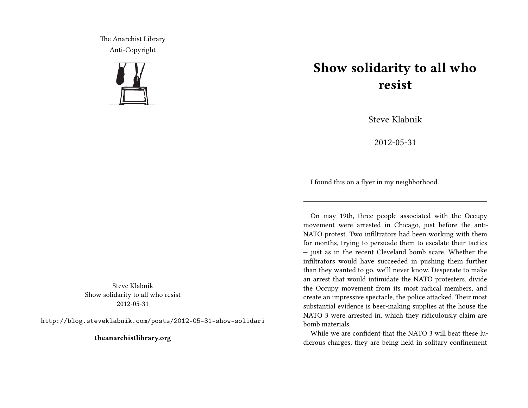The Anarchist Library Anti-Copyright



Steve Klabnik Show solidarity to all who resist 2012-05-31

http://blog.steveklabnik.com/posts/2012-05-31-show-solidari

**theanarchistlibrary.org**

## **Show solidarity to all who resist**

Steve Klabnik

2012-05-31

I found this on a flyer in my neighborhood.

On may 19th, three people associated with the Occupy movement were arrested in Chicago, just before the anti-NATO protest. Two infiltrators had been working with them for months, trying to persuade them to escalate their tactics — just as in the recent Cleveland bomb scare. Whether the infiltrators would have succeeded in pushing them further than they wanted to go, we'll never know. Desperate to make an arrest that would intimidate the NATO protesters, divide the Occupy movement from its most radical members, and create an impressive spectacle, the police attacked. Their most substantial evidence is beer-making supplies at the house the NATO 3 were arrested in, which they ridiculously claim are bomb materials.

While we are confident that the NATO 3 will beat these ludicrous charges, they are being held in solitary confinement